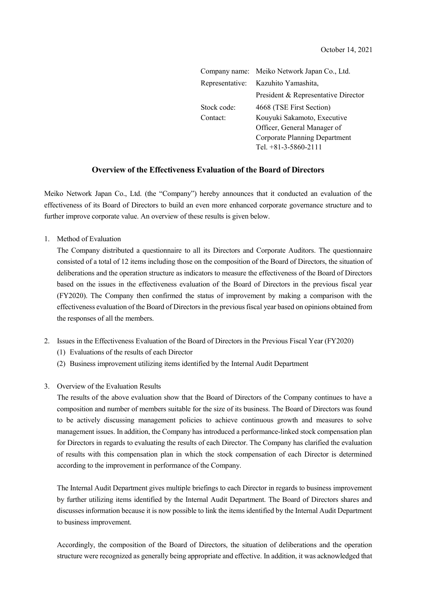| Company name:   | Meiko Network Japan Co., Ltd.       |
|-----------------|-------------------------------------|
| Representative: | Kazuhito Yamashita,                 |
|                 | President & Representative Director |
| Stock code:     | 4668 (TSE First Section)            |
| Contact:        | Kouyuki Sakamoto, Executive         |
|                 | Officer, General Manager of         |
|                 | Corporate Planning Department       |
|                 | Tel. $+81-3-5860-2111$              |

## **Overview of the Effectiveness Evaluation of the Board of Directors**

Meiko Network Japan Co., Ltd. (the "Company") hereby announces that it conducted an evaluation of the effectiveness of its Board of Directors to build an even more enhanced corporate governance structure and to further improve corporate value. An overview of these results is given below.

1. Method of Evaluation

The Company distributed a questionnaire to all its Directors and Corporate Auditors. The questionnaire consisted of a total of 12 items including those on the composition of the Board of Directors, the situation of deliberations and the operation structure as indicators to measure the effectiveness of the Board of Directors based on the issues in the effectiveness evaluation of the Board of Directors in the previous fiscal year (FY2020). The Company then confirmed the status of improvement by making a comparison with the effectiveness evaluation of the Board of Directors in the previous fiscal year based on opinions obtained from the responses of all the members.

- 2. Issues in the Effectiveness Evaluation of the Board of Directors in the Previous Fiscal Year (FY2020)
	- (1) Evaluations of the results of each Director
	- (2) Business improvement utilizing items identified by the Internal Audit Department
- 3. Overview of the Evaluation Results

The results of the above evaluation show that the Board of Directors of the Company continues to have a composition and number of members suitable for the size of its business. The Board of Directors was found to be actively discussing management policies to achieve continuous growth and measures to solve management issues. In addition, the Company has introduced a performance-linked stock compensation plan for Directors in regards to evaluating the results of each Director. The Company has clarified the evaluation of results with this compensation plan in which the stock compensation of each Director is determined according to the improvement in performance of the Company.

The Internal Audit Department gives multiple briefings to each Director in regards to business improvement by further utilizing items identified by the Internal Audit Department. The Board of Directors shares and discusses information because it is now possible to link the items identified by the Internal Audit Department to business improvement.

Accordingly, the composition of the Board of Directors, the situation of deliberations and the operation structure were recognized as generally being appropriate and effective. In addition, it was acknowledged that